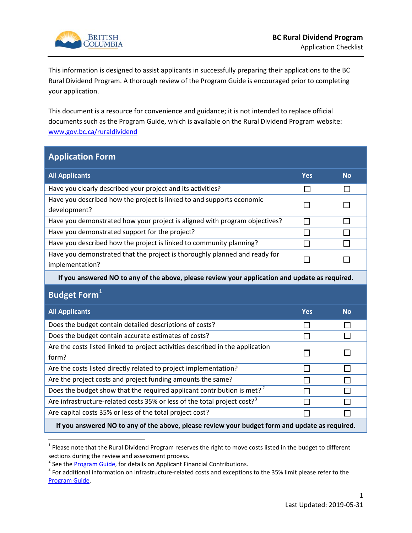

This information is designed to assist applicants in successfully preparing their applications to the BC Rural Dividend Program. A thorough review of the Program Guide is encouraged prior to completing your application.

This document is a resource for convenience and guidance; it is not intended to replace official documents such as the Program Guide, which is available on the Rural Dividend Program website: [www.gov.bc.ca/ruraldividend](http://www.gov.bc.ca/ruraldividend)

| <b>Application Form</b>                                                                        |            |           |  |  |
|------------------------------------------------------------------------------------------------|------------|-----------|--|--|
| <b>All Applicants</b>                                                                          | <b>Yes</b> | <b>No</b> |  |  |
| Have you clearly described your project and its activities?                                    |            |           |  |  |
| Have you described how the project is linked to and supports economic<br>development?          |            |           |  |  |
| Have you demonstrated how your project is aligned with program objectives?                     |            |           |  |  |
| Have you demonstrated support for the project?                                                 |            |           |  |  |
| Have you described how the project is linked to community planning?                            |            |           |  |  |
| Have you demonstrated that the project is thoroughly planned and ready for<br>implementation?  |            |           |  |  |
| If you answered NO to any of the above, please review your application and update as required. |            |           |  |  |
| <b>Budget Form<sup>1</sup></b>                                                                 |            |           |  |  |
| <b>All Applicants</b>                                                                          | <b>Yes</b> | <b>No</b> |  |  |
| Does the budget contain detailed descriptions of costs?                                        | □          |           |  |  |

| Does the budget contain detailed descriptions of costs?                                              |  |
|------------------------------------------------------------------------------------------------------|--|
| Does the budget contain accurate estimates of costs?                                                 |  |
| Are the costs listed linked to project activities described in the application<br>form?              |  |
| Are the costs listed directly related to project implementation?                                     |  |
| Are the project costs and project funding amounts the same?                                          |  |
| Does the budget show that the required applicant contribution is met? <sup>2</sup>                   |  |
| Are infrastructure-related costs 35% or less of the total project cost? <sup>3</sup>                 |  |
| Are capital costs 35% or less of the total project cost?                                             |  |
| If the concerning all NO to contract the calculation in the context contract from and contract are a |  |

**If you answered NO to any of the above, please review your budget form and update as required.**

 $1$  Please note that the Rural Dividend Program reserves the right to move costs listed in the budget to different sections during the review and assessment process.<br>
<sup>2</sup> See the **Program Guide**, for details on Applicant Financial Contributions.

<sup>&</sup>lt;sup>3</sup> For additional information on Infrastructure-related costs and exceptions to the 35% limit please refer to the [Program Guide.](https://www2.gov.bc.ca/assets/gov/employment-business-and-economic-development/economic-development/plan-and-measure/rural-communities/bcrdp-guide_6thround_may2019_final.pdf)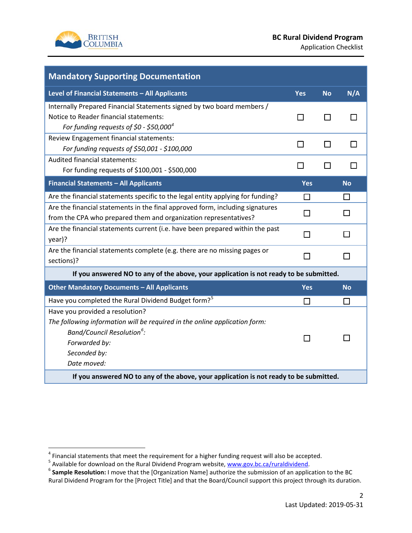

| <b>Mandatory Supporting Documentation</b>                                              |                          |              |           |  |
|----------------------------------------------------------------------------------------|--------------------------|--------------|-----------|--|
| Level of Financial Statements - All Applicants                                         | <b>Yes</b>               | <b>No</b>    | N/A       |  |
| Internally Prepared Financial Statements signed by two board members /                 |                          |              |           |  |
| Notice to Reader financial statements:                                                 | $\Box$                   | $\mathbf{I}$ |           |  |
| For funding requests of $$0 - $50,000^4$                                               |                          |              |           |  |
| Review Engagement financial statements:                                                | $\overline{\phantom{a}}$ |              |           |  |
| For funding requests of \$50,001 - \$100,000                                           |                          |              |           |  |
| <b>Audited financial statements:</b>                                                   | T.                       |              |           |  |
| For funding requests of \$100,001 - \$500,000                                          |                          |              |           |  |
| <b>Financial Statements - All Applicants</b>                                           | <b>Yes</b>               |              | <b>No</b> |  |
| Are the financial statements specific to the legal entity applying for funding?        | П                        |              |           |  |
| Are the financial statements in the final approved form, including signatures          |                          |              |           |  |
| from the CPA who prepared them and organization representatives?                       | ΙI                       |              |           |  |
| Are the financial statements current (i.e. have been prepared within the past          | $\Box$                   |              |           |  |
| year)?                                                                                 |                          |              |           |  |
| Are the financial statements complete (e.g. there are no missing pages or              | П                        |              |           |  |
| sections)?                                                                             |                          |              |           |  |
| If you answered NO to any of the above, your application is not ready to be submitted. |                          |              |           |  |
| <b>Other Mandatory Documents - All Applicants</b>                                      | <b>Yes</b>               |              | <b>No</b> |  |
| Have you completed the Rural Dividend Budget form? <sup>5</sup>                        | П                        |              |           |  |
| Have you provided a resolution?                                                        |                          |              |           |  |
| The following information will be required in the online application form:             |                          |              |           |  |
| Band/Council Resolution <sup>6</sup> :                                                 |                          |              |           |  |
| Forwarded by:                                                                          |                          |              |           |  |
| Seconded by:                                                                           |                          |              |           |  |
| Date moved:                                                                            |                          |              |           |  |
| If you answered NO to any of the above, your application is not ready to be submitted. |                          |              |           |  |

<sup>&</sup>lt;sup>4</sup> Financial statements that meet the requirement for a higher funding request will also be accepted.<br><sup>5</sup> Available for download on the Rural Dividend Program website, [www.gov.bc.ca/ruraldividend.](http://www.gov.bc.ca/ruraldividend)<br><sup>6</sup> **Sample Resolution:** Rural Dividend Program for the [Project Title] and that the Board/Council support this project through its duration.